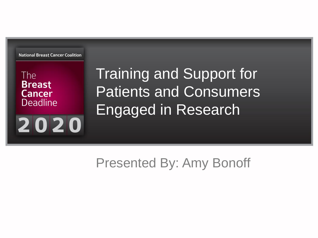**National Breast Cancer Coalition** 

2020

The **Breast Cancer Deadline**  Training and Support for Patients and Consumers Engaged in Research

Presented By: Amy Bonoff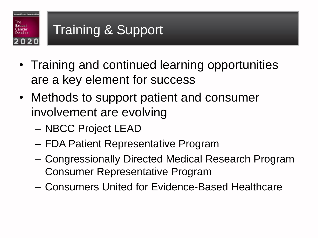

- Training and continued learning opportunities are a key element for success
- Methods to support patient and consumer involvement are evolving
	- NBCC Project LEAD
	- FDA Patient Representative Program
	- Congressionally Directed Medical Research Program Consumer Representative Program
	- Consumers United for Evidence-Based Healthcare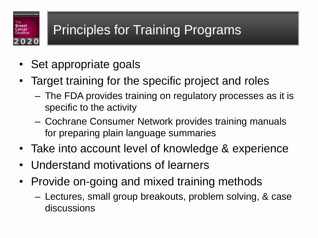## Principles for Training Programs

• Set appropriate goals

hal Breast Cancer Co.

 $020$ 

**Breast** ancer Deadline

- Target training for the specific project and roles
	- The FDA provides training on regulatory processes as it is specific to the activity
	- Cochrane Consumer Network provides training manuals for preparing plain language summaries
- Take into account level of knowledge & experience
- Understand motivations of learners
- Provide on-going and mixed training methods
	- Lectures, small group breakouts, problem solving, & case discussions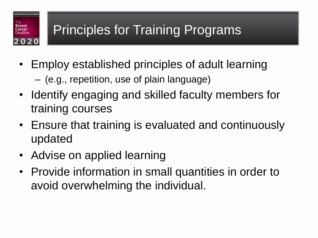## Principles for Training Programs

- Employ established principles of adult learning
	- (e.g., repetition, use of plain language)
- Identify engaging and skilled faculty members for training courses
- Ensure that training is evaluated and continuously updated
- Advise on applied learning

al Breast Cancer Co

 $0<sub>2</sub>$ 

Breast<br>Cancer

• Provide information in small quantities in order to avoid overwhelming the individual.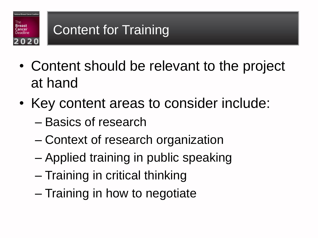

- Content should be relevant to the project at hand
- Key content areas to consider include:
	- Basics of research
	- Context of research organization
	- Applied training in public speaking
	- Training in critical thinking
	- Training in how to negotiate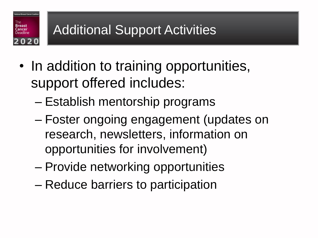#### Breast Additional Support Activities ancer 020

al Breast Cancer C

- In addition to training opportunities, support offered includes:
	- Establish mentorship programs
	- Foster ongoing engagement (updates on research, newsletters, information on opportunities for involvement)
	- Provide networking opportunities
	- Reduce barriers to participation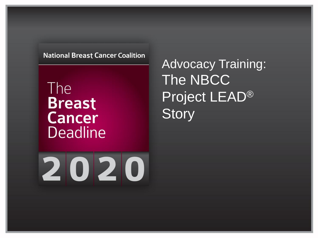#### **National Breast Cancer Coalition**

The **Breast Cancer Deadline**  Advocacy Training: The NBCC Project LEAD® **Story** 

# 2020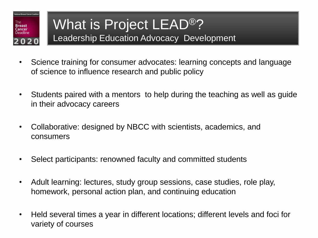

#### What is Project LEAD®? Leadership Education Advocacy Development

- Science training for consumer advocates: learning concepts and language of science to influence research and public policy
- Students paired with a mentors to help during the teaching as well as guide in their advocacy careers
- Collaborative: designed by NBCC with scientists, academics, and consumers
- Select participants: renowned faculty and committed students
- Adult learning: lectures, study group sessions, case studies, role play, homework, personal action plan, and continuing education
- Held several times a year in different locations; different levels and foci for variety of courses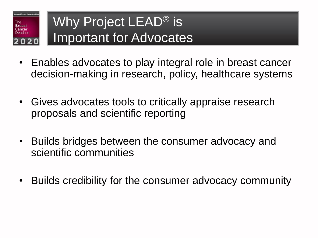

### Why Project LEAD<sup>®</sup> is Important for Advocates

- Enables advocates to play integral role in breast cancer decision-making in research, policy, healthcare systems
- Gives advocates tools to critically appraise research proposals and scientific reporting
- Builds bridges between the consumer advocacy and scientific communities
- Builds credibility for the consumer advocacy community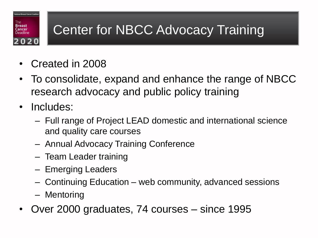## Center for NBCC Advocacy Training

- Created in 2008
- To consolidate, expand and enhance the range of NBCC research advocacy and public policy training
- Includes:

nal Breast Cancer Co

020

**Breast** ancer

- Full range of Project LEAD domestic and international science and quality care courses
- Annual Advocacy Training Conference
- Team Leader training
- Emerging Leaders
- Continuing Education web community, advanced sessions
- Mentoring
- Over 2000 graduates, 74 courses since 1995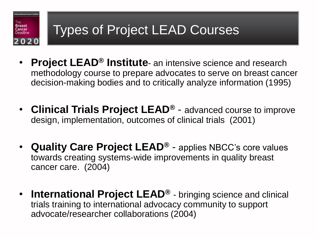

- **Project LEAD® Institute** an intensive science and research methodology course to prepare advocates to serve on breast cancer decision-making bodies and to critically analyze information (1995)
- **Clinical Trials Project LEAD®** advanced course to improve design, implementation, outcomes of clinical trials (2001)
- **Quality Care Project LEAD®** applies NBCC's core values towards creating systems-wide improvements in quality breast cancer care. (2004)
- **International Project LEAD®** bringing science and clinical trials training to international advocacy community to support advocate/researcher collaborations (2004)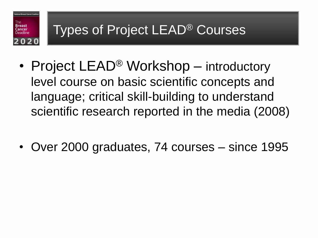

- Project LEAD<sup>®</sup> Workshop introductory level course on basic scientific concepts and language; critical skill-building to understand scientific research reported in the media (2008)
- Over 2000 graduates, 74 courses since 1995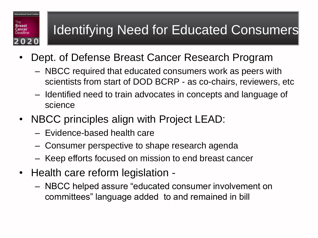#### Identifying Need for Educated Consumers

- Dept. of Defense Breast Cancer Research Program
	- NBCC required that educated consumers work as peers with scientists from start of DOD BCRP - as co-chairs, reviewers, etc
	- Identified need to train advocates in concepts and language of science
- NBCC principles align with Project LEAD:
	- Evidence-based health care

nal Breast Cancer Co

2020

Гhе Breast<br>Cancer Deadline

- Consumer perspective to shape research agenda
- Keep efforts focused on mission to end breast cancer
- Health care reform legislation
	- NBCC helped assure "educated consumer involvement on committees" language added to and remained in bill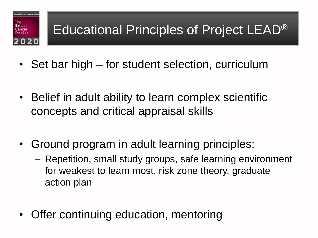

- Set bar high for student selection, curriculum
- Belief in adult ability to learn complex scientific concepts and critical appraisal skills
- Ground program in adult learning principles:
	- Repetition, small study groups, safe learning environment for weakest to learn most, risk zone theory, graduate action plan
- Offer continuing education, mentoring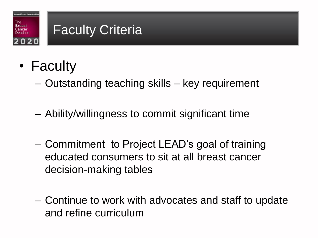#### Breast<br>Cancer Faculty Criteria 020

- Faculty
	- Outstanding teaching skills key requirement
	- Ability/willingness to commit significant time
	- Commitment to Project LEAD's goal of training educated consumers to sit at all breast cancer decision-making tables
	- Continue to work with advocates and staff to update and refine curriculum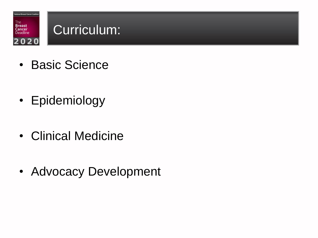

- Basic Science
- Epidemiology
- Clinical Medicine
- Advocacy Development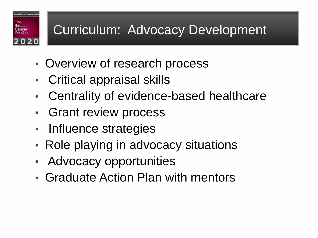### Curriculum: Advocacy Development

- Overview of research process
- Critical appraisal skills

al Breast Cancer Co

20

Breast

- Centrality of evidence-based healthcare
- Grant review process
- Influence strategies
- Role playing in advocacy situations
- Advocacy opportunities
- Graduate Action Plan with mentors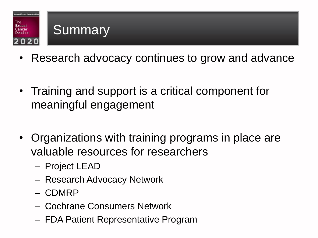

- Research advocacy continues to grow and advance
- Training and support is a critical component for meaningful engagement
- Organizations with training programs in place are valuable resources for researchers
	- Project LEAD
	- Research Advocacy Network
	- CDMRP
	- Cochrane Consumers Network
	- FDA Patient Representative Program